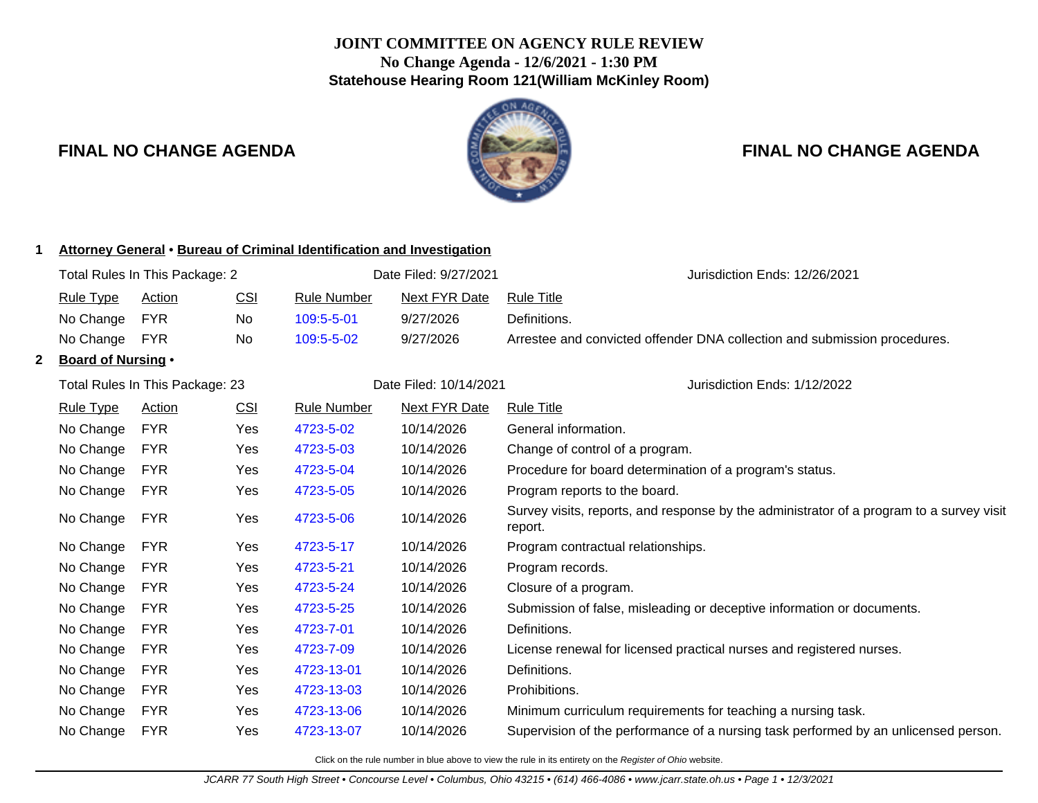# **JOINT COMMITTEE ON AGENCY RULE REVIEW No Change Agenda - 12/6/2021 - 1:30 PM Statehouse Hearing Room 121(William McKinley Room)**



| Attorney General • Bureau of Criminal Identification and Investigation |                                |                                 |            |                       |                               |                                                                                                     |
|------------------------------------------------------------------------|--------------------------------|---------------------------------|------------|-----------------------|-------------------------------|-----------------------------------------------------------------------------------------------------|
|                                                                        | Total Rules In This Package: 2 |                                 |            | Date Filed: 9/27/2021 | Jurisdiction Ends: 12/26/2021 |                                                                                                     |
|                                                                        | <b>Rule Type</b>               | <b>Action</b>                   | <u>CSI</u> | <b>Rule Number</b>    | <b>Next FYR Date</b>          | <b>Rule Title</b>                                                                                   |
|                                                                        | No Change                      | <b>FYR</b>                      | <b>No</b>  | 109:5-5-01            | 9/27/2026                     | Definitions.                                                                                        |
|                                                                        | No Change                      | <b>FYR</b>                      | No         | 109:5-5-02            | 9/27/2026                     | Arrestee and convicted offender DNA collection and submission procedures.                           |
| 2                                                                      | <b>Board of Nursing •</b>      |                                 |            |                       |                               |                                                                                                     |
|                                                                        |                                | Total Rules In This Package: 23 |            |                       | Date Filed: 10/14/2021        | Jurisdiction Ends: 1/12/2022                                                                        |
|                                                                        | <b>Rule Type</b>               | <b>Action</b>                   | <u>CSI</u> | <b>Rule Number</b>    | <b>Next FYR Date</b>          | <b>Rule Title</b>                                                                                   |
|                                                                        | No Change                      | <b>FYR</b>                      | Yes        | 4723-5-02             | 10/14/2026                    | General information.                                                                                |
|                                                                        | No Change                      | <b>FYR</b>                      | Yes        | 4723-5-03             | 10/14/2026                    | Change of control of a program.                                                                     |
|                                                                        | No Change                      | <b>FYR</b>                      | Yes        | 4723-5-04             | 10/14/2026                    | Procedure for board determination of a program's status.                                            |
|                                                                        | No Change                      | <b>FYR</b>                      | Yes        | 4723-5-05             | 10/14/2026                    | Program reports to the board.                                                                       |
|                                                                        | No Change                      | <b>FYR</b>                      | Yes        | 4723-5-06             | 10/14/2026                    | Survey visits, reports, and response by the administrator of a program to a survey visit<br>report. |
|                                                                        | No Change                      | <b>FYR</b>                      | Yes        | 4723-5-17             | 10/14/2026                    | Program contractual relationships.                                                                  |
|                                                                        | No Change                      | <b>FYR</b>                      | Yes        | 4723-5-21             | 10/14/2026                    | Program records.                                                                                    |
|                                                                        | No Change                      | <b>FYR</b>                      | Yes        | 4723-5-24             | 10/14/2026                    | Closure of a program.                                                                               |
|                                                                        | No Change                      | <b>FYR</b>                      | Yes        | 4723-5-25             | 10/14/2026                    | Submission of false, misleading or deceptive information or documents.                              |
|                                                                        | No Change                      | <b>FYR</b>                      | Yes        | 4723-7-01             | 10/14/2026                    | Definitions.                                                                                        |
|                                                                        | No Change                      | <b>FYR</b>                      | Yes        | 4723-7-09             | 10/14/2026                    | License renewal for licensed practical nurses and registered nurses.                                |
|                                                                        | No Change                      | <b>FYR</b>                      | Yes        | 4723-13-01            | 10/14/2026                    | Definitions.                                                                                        |
|                                                                        | No Change                      | <b>FYR</b>                      | Yes        | 4723-13-03            | 10/14/2026                    | Prohibitions.                                                                                       |
|                                                                        | No Change                      | <b>FYR</b>                      | Yes        | 4723-13-06            | 10/14/2026                    | Minimum curriculum requirements for teaching a nursing task.                                        |
|                                                                        | No Change                      | <b>FYR</b>                      | Yes        | 4723-13-07            | 10/14/2026                    | Supervision of the performance of a nursing task performed by an unlicensed person.                 |
|                                                                        |                                |                                 |            |                       |                               |                                                                                                     |

Click on the rule number in blue above to view the rule in its entirety on the Register of Ohio website.

# **FINAL NO CHANGE AGENDA FINAL NO CHANGE AGENDA**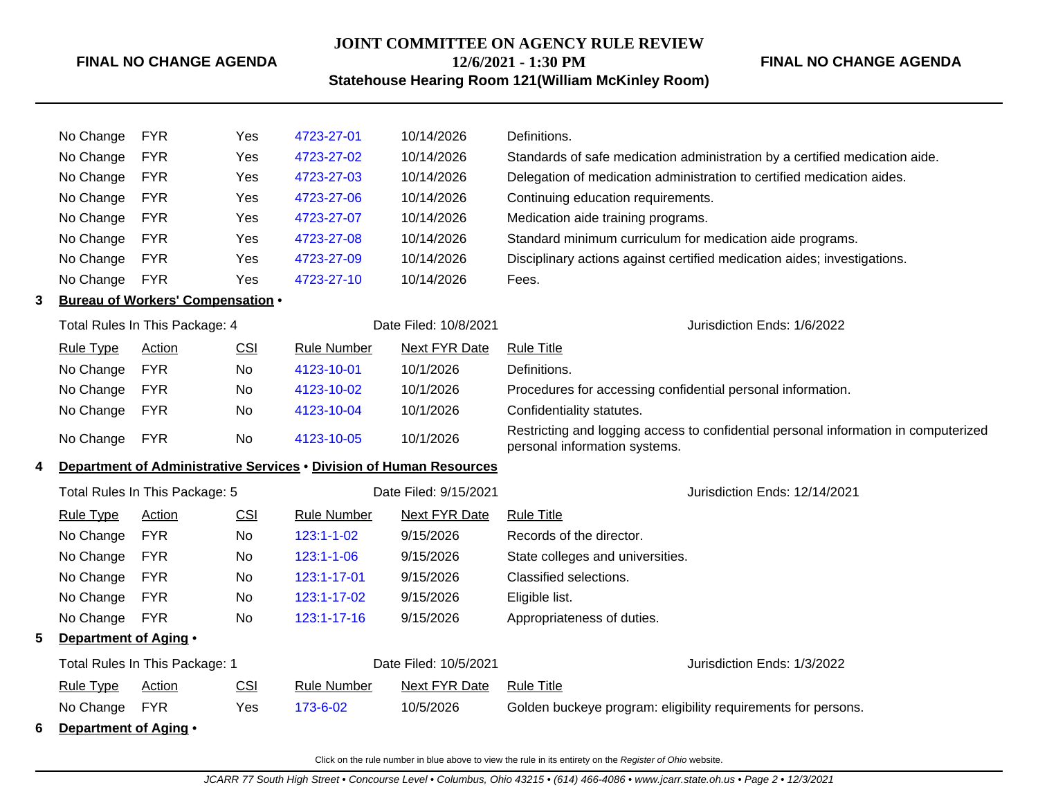# **JOINT COMMITTEE ON AGENCY RULE REVIEW 12/6/2021 - 1:30 PM**

# **FINAL NO CHANGE AGENDA**

**Statehouse Hearing Room 121(William McKinley Room)**

|   | No Change        | <b>FYR</b>                               | Yes | 4723-27-01  | 10/14/2026            | Definitions.                                                                |
|---|------------------|------------------------------------------|-----|-------------|-----------------------|-----------------------------------------------------------------------------|
|   | No Change        | <b>FYR</b>                               | Yes | 4723-27-02  | 10/14/2026            | Standards of safe medication administration by a certified medication aide. |
|   | No Change        | <b>FYR</b>                               | Yes | 4723-27-03  | 10/14/2026            | Delegation of medication administration to certified medication aides.      |
|   | No Change        | <b>FYR</b>                               | Yes | 4723-27-06  | 10/14/2026            | Continuing education requirements.                                          |
|   | No Change        | <b>FYR</b>                               | Yes | 4723-27-07  | 10/14/2026            | Medication aide training programs.                                          |
|   | No Change        | <b>FYR</b>                               | Yes | 4723-27-08  | 10/14/2026            | Standard minimum curriculum for medication aide programs.                   |
|   | No Change        | <b>FYR</b>                               | Yes | 4723-27-09  | 10/14/2026            | Disciplinary actions against certified medication aides; investigations.    |
|   | No Change        | <b>FYR</b>                               | Yes | 4723-27-10  | 10/14/2026            | Fees.                                                                       |
| 3 |                  | <b>Bureau of Workers' Compensation •</b> |     |             |                       |                                                                             |
|   |                  | Total Rules In This Package: 4           |     |             | Date Filed: 10/8/2021 | Jurisdiction Ends: 1/6/2022                                                 |
|   | <b>Rule Type</b> | Action                                   | CSI | Rule Number | Next FYR Date         | Rule Title                                                                  |
|   | No Change        | <b>FYR</b>                               | No  | 4123-10-01  | 10/1/2026             | Definitions.                                                                |
|   | No Change        | <b>FYR</b>                               | No. | 4123-10-02  | 10/1/2026             | Procedures for accessing confidential personal information.                 |
|   | No Change        | <b>FYR</b>                               | No. | 4123-10-04  | 10/1/2026             | Confidentiality statutes.                                                   |
|   |                  |                                          |     |             |                       |                                                                             |

No Change FYR No [4123-10-05](http://www.registerofohio.state.oh.us/jsps/publicdisplayrules/processPublicDisplayRules.jsp?entered_rule_no=4123-10-05&doWhat=GETBYRULENUM&raID=0) 10/1/2026 Restricting and logging access to confidential personal information in computerized personal information systems.

# **4 Department of Administrative Services** • **Division of Human Resources**

|   | Total Rules In This Package: 5 |                                |     |                    | Date Filed: 9/15/2021 |                                  | Jurisdiction Ends: 12/14/2021                                 |
|---|--------------------------------|--------------------------------|-----|--------------------|-----------------------|----------------------------------|---------------------------------------------------------------|
|   | <b>Rule Type</b>               | Action                         | CSI | <b>Rule Number</b> | <b>Next FYR Date</b>  | <b>Rule Title</b>                |                                                               |
|   | No Change                      | <b>FYR</b>                     | No  | $123:1 - 1 - 02$   | 9/15/2026             | Records of the director.         |                                                               |
|   | No Change                      | <b>FYR</b>                     | No  | $123:1 - 1 - 06$   | 9/15/2026             | State colleges and universities. |                                                               |
|   | No Change                      | <b>FYR</b>                     | No. | 123:1-17-01        | 9/15/2026             | Classified selections.           |                                                               |
|   | No Change                      | <b>FYR</b>                     | No. | 123:1-17-02        | 9/15/2026             | Eligible list.                   |                                                               |
|   | No Change                      | <b>FYR</b>                     | No. | $123:1 - 17 - 16$  | 9/15/2026             | Appropriateness of duties.       |                                                               |
| 5 | Department of Aging •          |                                |     |                    |                       |                                  |                                                               |
|   |                                | Total Rules In This Package: 1 |     |                    | Date Filed: 10/5/2021 |                                  | Jurisdiction Ends: 1/3/2022                                   |
|   | <b>Rule Type</b>               | Action                         | CSI | <b>Rule Number</b> | Next FYR Date         | <b>Rule Title</b>                |                                                               |
|   | No Change                      | <b>FYR</b>                     | Yes | 173-6-02           | 10/5/2026             |                                  | Golden buckeye program: eligibility requirements for persons. |
| 6 | Department of Aging •          |                                |     |                    |                       |                                  |                                                               |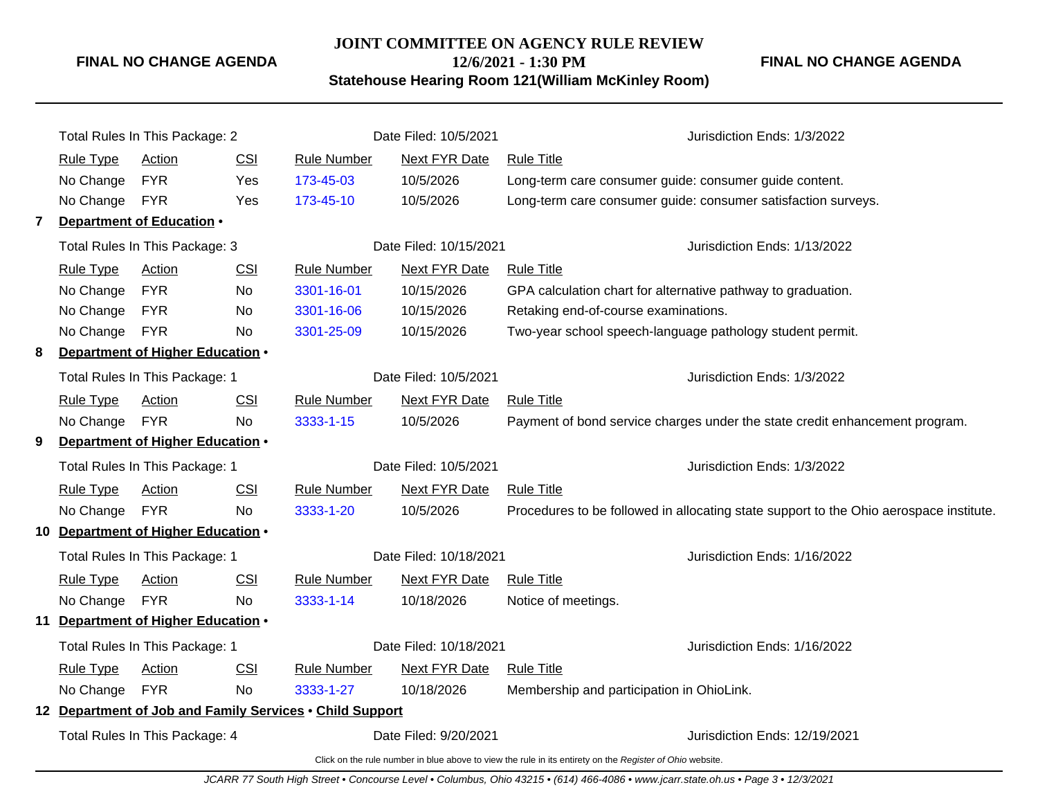# **JOINT COMMITTEE ON AGENCY RULE REVIEW 12/6/2021 - 1:30 PM**

**FINAL NO CHANGE AGENDA**

# **Statehouse Hearing Room 121(William McKinley Room)**

|              |                                                                                                          | Total Rules In This Package: 2   |            |                                                          | Date Filed: 10/5/2021       | Jurisdiction Ends: 1/3/2022                                                            |  |  |
|--------------|----------------------------------------------------------------------------------------------------------|----------------------------------|------------|----------------------------------------------------------|-----------------------------|----------------------------------------------------------------------------------------|--|--|
|              | <b>Rule Type</b>                                                                                         | Action                           | CSI        | <b>Rule Number</b>                                       | <b>Next FYR Date</b>        | <b>Rule Title</b>                                                                      |  |  |
|              | No Change                                                                                                | <b>FYR</b>                       | Yes        | 173-45-03                                                | 10/5/2026                   | Long-term care consumer guide: consumer guide content.                                 |  |  |
|              | No Change FYR                                                                                            |                                  | Yes        | 173-45-10                                                | 10/5/2026                   | Long-term care consumer guide: consumer satisfaction surveys.                          |  |  |
| $\mathbf{7}$ |                                                                                                          | Department of Education .        |            |                                                          |                             |                                                                                        |  |  |
|              |                                                                                                          | Total Rules In This Package: 3   |            | Date Filed: 10/15/2021                                   |                             | Jurisdiction Ends: 1/13/2022                                                           |  |  |
|              | <b>Rule Type</b>                                                                                         | <b>Action</b>                    | CSI        | <b>Rule Number</b>                                       | <b>Next FYR Date</b>        | <b>Rule Title</b>                                                                      |  |  |
|              | No Change                                                                                                | <b>FYR</b>                       | No         | 3301-16-01                                               | 10/15/2026                  | GPA calculation chart for alternative pathway to graduation.                           |  |  |
|              | No Change                                                                                                | <b>FYR</b>                       | No         | 3301-16-06                                               | 10/15/2026                  | Retaking end-of-course examinations.                                                   |  |  |
|              | No Change                                                                                                | <b>FYR</b>                       | No         | 3301-25-09                                               | 10/15/2026                  | Two-year school speech-language pathology student permit.                              |  |  |
| 8            |                                                                                                          | Department of Higher Education . |            |                                                          |                             |                                                                                        |  |  |
|              | Total Rules In This Package: 1                                                                           |                                  |            | Date Filed: 10/5/2021                                    | Jurisdiction Ends: 1/3/2022 |                                                                                        |  |  |
|              | <b>Rule Type</b>                                                                                         | <b>Action</b>                    | CSI        | <b>Rule Number</b>                                       | <b>Next FYR Date</b>        | <b>Rule Title</b>                                                                      |  |  |
|              | No Change                                                                                                | <b>FYR</b>                       | <b>No</b>  | 3333-1-15                                                | 10/5/2026                   | Payment of bond service charges under the state credit enhancement program.            |  |  |
| 9            |                                                                                                          | Department of Higher Education . |            |                                                          |                             |                                                                                        |  |  |
|              |                                                                                                          | Total Rules In This Package: 1   |            |                                                          | Date Filed: 10/5/2021       | Jurisdiction Ends: 1/3/2022                                                            |  |  |
|              | <b>Rule Type</b>                                                                                         | Action                           | <b>CSI</b> | <b>Rule Number</b>                                       | Next FYR Date               | <b>Rule Title</b>                                                                      |  |  |
|              | No Change                                                                                                | <b>FYR</b>                       | <b>No</b>  | 3333-1-20                                                | 10/5/2026                   | Procedures to be followed in allocating state support to the Ohio aerospace institute. |  |  |
| 10           |                                                                                                          | Department of Higher Education . |            |                                                          |                             |                                                                                        |  |  |
|              |                                                                                                          | Total Rules In This Package: 1   |            |                                                          | Date Filed: 10/18/2021      | Jurisdiction Ends: 1/16/2022                                                           |  |  |
|              | <b>Rule Type</b>                                                                                         | Action                           | <b>CSI</b> | Rule Number                                              | Next FYR Date               | <b>Rule Title</b>                                                                      |  |  |
|              | No Change                                                                                                | <b>FYR</b>                       | <b>No</b>  | 3333-1-14                                                | 10/18/2026                  | Notice of meetings.                                                                    |  |  |
| 11           |                                                                                                          | Department of Higher Education . |            |                                                          |                             |                                                                                        |  |  |
|              |                                                                                                          | Total Rules In This Package: 1   |            |                                                          | Date Filed: 10/18/2021      | Jurisdiction Ends: 1/16/2022                                                           |  |  |
|              | <b>Rule Type</b>                                                                                         | Action                           | <b>CSI</b> | <b>Rule Number</b>                                       | Next FYR Date               | <b>Rule Title</b>                                                                      |  |  |
|              | No Change                                                                                                | <b>FYR</b>                       | <b>No</b>  | 3333-1-27                                                | 10/18/2026                  | Membership and participation in OhioLink.                                              |  |  |
|              |                                                                                                          |                                  |            | 12 Department of Job and Family Services . Child Support |                             |                                                                                        |  |  |
|              |                                                                                                          | Total Rules In This Package: 4   |            | Date Filed: 9/20/2021                                    |                             | Jurisdiction Ends: 12/19/2021                                                          |  |  |
|              | Click on the rule number in blue above to view the rule in its entirety on the Register of Ohio website. |                                  |            |                                                          |                             |                                                                                        |  |  |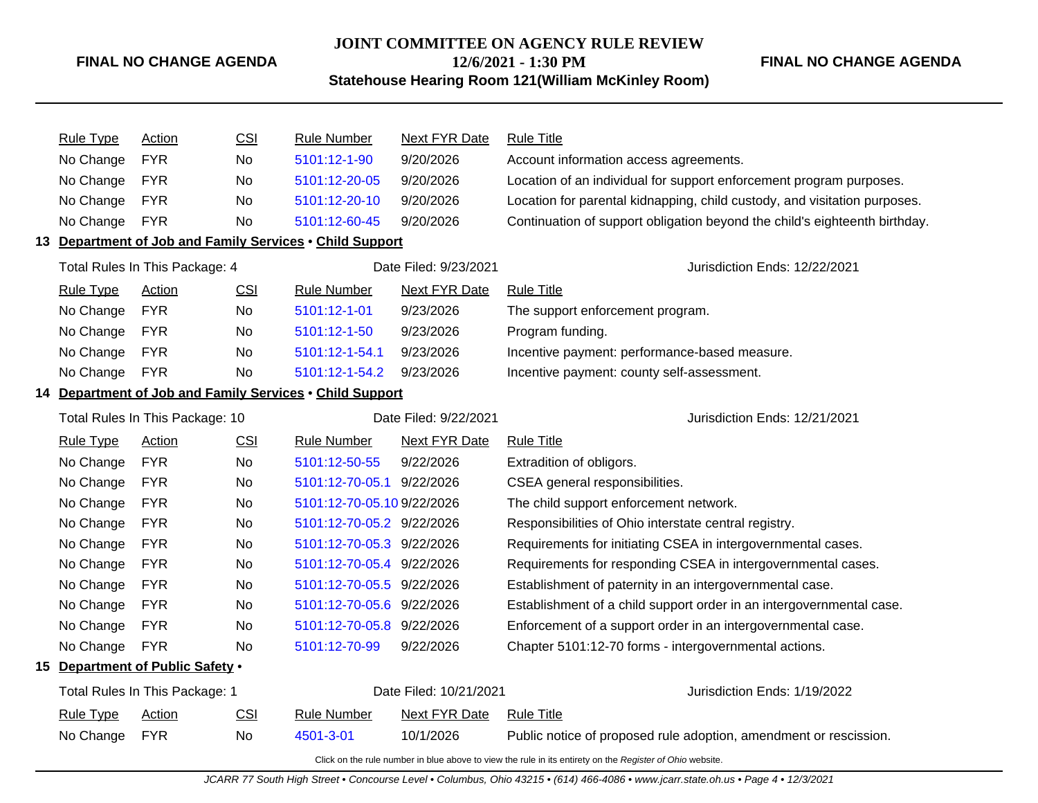#### **JOINT COMMITTEE ON AGENCY RULE REVIEW**

**12/6/2021 - 1:30 PM**

**Statehouse Hearing Room 121(William McKinley Room)**

**FINAL NO CHANGE AGENDA**

| <b>Rule Type</b> | Action                           | <b>CSI</b> | Rule Number                                              | Next FYR Date          | <b>Rule Title</b>                                                          |
|------------------|----------------------------------|------------|----------------------------------------------------------|------------------------|----------------------------------------------------------------------------|
| No Change        | <b>FYR</b>                       | <b>No</b>  | 5101:12-1-90                                             | 9/20/2026              | Account information access agreements.                                     |
| No Change        | <b>FYR</b>                       | No.        | 5101:12-20-05                                            | 9/20/2026              | Location of an individual for support enforcement program purposes.        |
| No Change        | <b>FYR</b>                       | <b>No</b>  | 5101:12-20-10                                            | 9/20/2026              | Location for parental kidnapping, child custody, and visitation purposes.  |
| No Change        | <b>FYR</b>                       | No         | 5101:12-60-45                                            | 9/20/2026              | Continuation of support obligation beyond the child's eighteenth birthday. |
|                  |                                  |            | 13 Department of Job and Family Services . Child Support |                        |                                                                            |
|                  | Total Rules In This Package: 4   |            |                                                          | Date Filed: 9/23/2021  | Jurisdiction Ends: 12/22/2021                                              |
| <b>Rule Type</b> | <b>Action</b>                    | <b>CSI</b> | <b>Rule Number</b>                                       | <b>Next FYR Date</b>   | <b>Rule Title</b>                                                          |
| No Change        | <b>FYR</b>                       | No.        | 5101:12-1-01                                             | 9/23/2026              | The support enforcement program.                                           |
| No Change        | <b>FYR</b>                       | No.        | 5101:12-1-50                                             | 9/23/2026              | Program funding.                                                           |
| No Change        | <b>FYR</b>                       | <b>No</b>  | 5101:12-1-54.1                                           | 9/23/2026              | Incentive payment: performance-based measure.                              |
| No Change        | <b>FYR</b>                       | No         | 5101:12-1-54.2                                           | 9/23/2026              | Incentive payment: county self-assessment.                                 |
|                  |                                  |            | 14 Department of Job and Family Services . Child Support |                        |                                                                            |
|                  | Total Rules In This Package: 10  |            |                                                          | Date Filed: 9/22/2021  | Jurisdiction Ends: 12/21/2021                                              |
| <b>Rule Type</b> | Action                           | <b>CSI</b> | <b>Rule Number</b>                                       | <b>Next FYR Date</b>   | <b>Rule Title</b>                                                          |
| No Change        | <b>FYR</b>                       | <b>No</b>  | 5101:12-50-55                                            | 9/22/2026              | Extradition of obligors.                                                   |
| No Change        | <b>FYR</b>                       | No         | 5101:12-70-05.1 9/22/2026                                |                        | CSEA general responsibilities.                                             |
| No Change        | <b>FYR</b>                       | No         | 5101:12-70-05.10 9/22/2026                               |                        | The child support enforcement network.                                     |
| No Change        | <b>FYR</b>                       | No.        | 5101:12-70-05.2 9/22/2026                                |                        | Responsibilities of Ohio interstate central registry.                      |
| No Change        | <b>FYR</b>                       | No         | 5101:12-70-05.3 9/22/2026                                |                        | Requirements for initiating CSEA in intergovernmental cases.               |
| No Change        | <b>FYR</b>                       | No.        | 5101:12-70-05.4 9/22/2026                                |                        | Requirements for responding CSEA in intergovernmental cases.               |
| No Change        | <b>FYR</b>                       | No         | 5101:12-70-05.5 9/22/2026                                |                        | Establishment of paternity in an intergovernmental case.                   |
| No Change        | <b>FYR</b>                       | No.        | 5101:12-70-05.6 9/22/2026                                |                        | Establishment of a child support order in an intergovernmental case.       |
| No Change        | <b>FYR</b>                       | No.        | 5101:12-70-05.8 9/22/2026                                |                        | Enforcement of a support order in an intergovernmental case.               |
| No Change        | <b>FYR</b>                       | No         | 5101:12-70-99                                            | 9/22/2026              | Chapter 5101:12-70 forms - intergovernmental actions.                      |
|                  | 15 Department of Public Safety . |            |                                                          |                        |                                                                            |
|                  | Total Rules In This Package: 1   |            |                                                          | Date Filed: 10/21/2021 | Jurisdiction Ends: 1/19/2022                                               |
| <b>Rule Type</b> | <b>Action</b>                    | <b>CSI</b> | <b>Rule Number</b>                                       | <b>Next FYR Date</b>   | <b>Rule Title</b>                                                          |
| No Change        | <b>FYR</b>                       | <b>No</b>  | 4501-3-01                                                | 10/1/2026              | Public notice of proposed rule adoption, amendment or rescission.          |
|                  |                                  |            |                                                          |                        |                                                                            |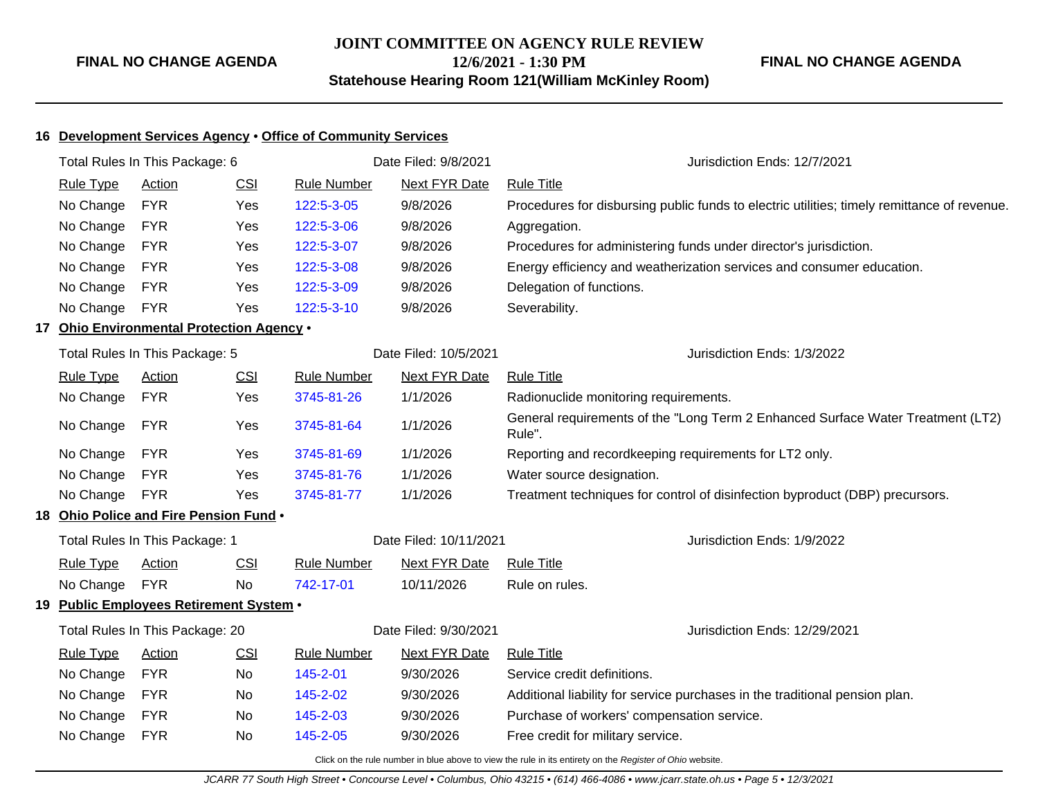## **16 Development Services Agency** • **Office of Community Services**

| Total Rules In This Package: 6 |                                                          |                                           | Date Filed: 9/8/2021 | Jurisdiction Ends: 12/7/2021 |                        |                                                                                             |
|--------------------------------|----------------------------------------------------------|-------------------------------------------|----------------------|------------------------------|------------------------|---------------------------------------------------------------------------------------------|
|                                | <b>Rule Type</b>                                         | Action                                    | CSI                  | <b>Rule Number</b>           | <b>Next FYR Date</b>   | <b>Rule Title</b>                                                                           |
|                                | No Change                                                | <b>FYR</b>                                | Yes                  | 122:5-3-05                   | 9/8/2026               | Procedures for disbursing public funds to electric utilities; timely remittance of revenue. |
|                                | No Change                                                | <b>FYR</b>                                | Yes                  | 122:5-3-06                   | 9/8/2026               | Aggregation.                                                                                |
|                                | No Change                                                | <b>FYR</b>                                | Yes                  | 122:5-3-07                   | 9/8/2026               | Procedures for administering funds under director's jurisdiction.                           |
|                                | No Change                                                | <b>FYR</b>                                | Yes                  | 122:5-3-08                   | 9/8/2026               | Energy efficiency and weatherization services and consumer education.                       |
|                                | No Change                                                | <b>FYR</b>                                | Yes                  | 122:5-3-09                   | 9/8/2026               | Delegation of functions.                                                                    |
|                                | No Change                                                | <b>FYR</b>                                | Yes                  | 122:5-3-10                   | 9/8/2026               | Severability.                                                                               |
|                                |                                                          | 17 Ohio Environmental Protection Agency . |                      |                              |                        |                                                                                             |
|                                |                                                          | Total Rules In This Package: 5            |                      |                              | Date Filed: 10/5/2021  | Jurisdiction Ends: 1/3/2022                                                                 |
|                                | <b>Rule Type</b>                                         | <b>Action</b>                             | <b>CSI</b>           | <b>Rule Number</b>           | <b>Next FYR Date</b>   | <b>Rule Title</b>                                                                           |
|                                | No Change                                                | <b>FYR</b>                                | Yes                  | 3745-81-26                   | 1/1/2026               | Radionuclide monitoring requirements.                                                       |
|                                | No Change                                                | <b>FYR</b>                                | Yes                  | 3745-81-64                   | 1/1/2026               | General requirements of the "Long Term 2 Enhanced Surface Water Treatment (LT2)<br>Rule".   |
|                                | No Change                                                | <b>FYR</b>                                | Yes                  | 3745-81-69                   | 1/1/2026               | Reporting and recordkeeping requirements for LT2 only.                                      |
|                                | No Change                                                | <b>FYR</b>                                | Yes                  | 3745-81-76                   | 1/1/2026               | Water source designation.                                                                   |
|                                | No Change                                                | <b>FYR</b>                                | Yes                  | 3745-81-77                   | 1/1/2026               | Treatment techniques for control of disinfection byproduct (DBP) precursors.                |
|                                |                                                          | 18 Ohio Police and Fire Pension Fund .    |                      |                              |                        |                                                                                             |
|                                |                                                          | Total Rules In This Package: 1            |                      |                              | Date Filed: 10/11/2021 | Jurisdiction Ends: 1/9/2022                                                                 |
|                                | <b>Rule Type</b>                                         | Action                                    | CSI                  | <b>Rule Number</b>           | <b>Next FYR Date</b>   | <b>Rule Title</b>                                                                           |
|                                | No Change                                                | <b>FYR</b>                                | <b>No</b>            | 742-17-01                    | 10/11/2026             | Rule on rules.                                                                              |
|                                |                                                          | 19 Public Employees Retirement System .   |                      |                              |                        |                                                                                             |
|                                | Total Rules In This Package: 20<br>Date Filed: 9/30/2021 |                                           |                      |                              |                        | Jurisdiction Ends: 12/29/2021                                                               |
|                                | <b>Rule Type</b>                                         | <b>Action</b>                             | CSI                  | <b>Rule Number</b>           | <b>Next FYR Date</b>   | <b>Rule Title</b>                                                                           |
|                                | No Change                                                | <b>FYR</b>                                | No                   | 145-2-01                     | 9/30/2026              | Service credit definitions.                                                                 |
|                                | No Change                                                | <b>FYR</b>                                | No                   | 145-2-02                     | 9/30/2026              | Additional liability for service purchases in the traditional pension plan.                 |
|                                | No Change                                                | <b>FYR</b>                                | No                   | 145-2-03                     | 9/30/2026              | Purchase of workers' compensation service.                                                  |
|                                |                                                          |                                           |                      |                              |                        |                                                                                             |

No Change FYR No [145-2-05](http://www.registerofohio.state.oh.us/jsps/publicdisplayrules/processPublicDisplayRules.jsp?entered_rule_no=145-2-05&doWhat=GETBYRULENUM&raID=0) 9/30/2026 Free credit for military service.

Click on the rule number in blue above to view the rule in its entirety on the Register of Ohio website.

JCARR 77 South High Street • Concourse Level • Columbus, Ohio 43215 • (614) 466-4086 • www.jcarr.state.oh.us • Page 5 • 12/3/2021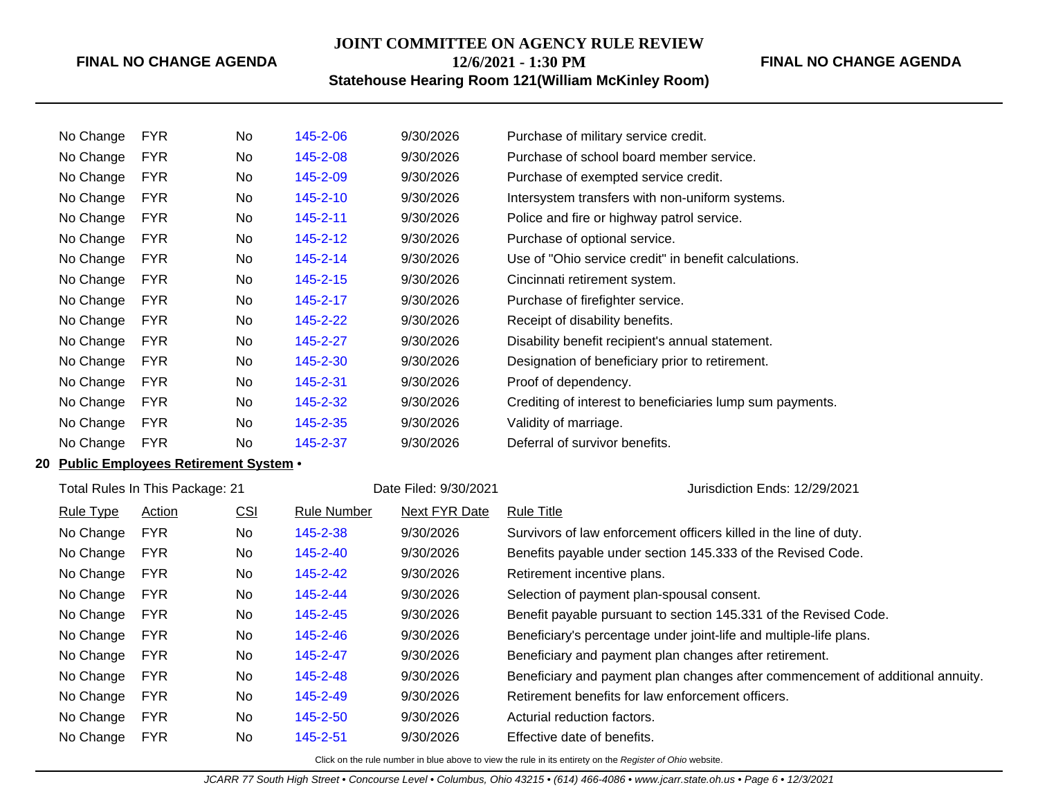# **JOINT COMMITTEE ON AGENCY RULE REVIEW 12/6/2021 - 1:30 PM**

**FINAL NO CHANGE AGENDA**

**Statehouse Hearing Room 121(William McKinley Room)**

| No Change | <b>FYR</b> | No | 145-2-06       | 9/30/2026 | Purchase of military service credit.                      |
|-----------|------------|----|----------------|-----------|-----------------------------------------------------------|
| No Change | <b>FYR</b> | No | 145-2-08       | 9/30/2026 | Purchase of school board member service.                  |
| No Change | <b>FYR</b> | No | 145-2-09       | 9/30/2026 | Purchase of exempted service credit.                      |
| No Change | <b>FYR</b> | No | 145-2-10       | 9/30/2026 | Intersystem transfers with non-uniform systems.           |
| No Change | <b>FYR</b> | No | 145-2-11       | 9/30/2026 | Police and fire or highway patrol service.                |
| No Change | <b>FYR</b> | No | 145-2-12       | 9/30/2026 | Purchase of optional service.                             |
| No Change | <b>FYR</b> | No | 145-2-14       | 9/30/2026 | Use of "Ohio service credit" in benefit calculations.     |
| No Change | <b>FYR</b> | No | $145 - 2 - 15$ | 9/30/2026 | Cincinnati retirement system.                             |
| No Change | <b>FYR</b> | No | 145-2-17       | 9/30/2026 | Purchase of firefighter service.                          |
| No Change | <b>FYR</b> | No | 145-2-22       | 9/30/2026 | Receipt of disability benefits.                           |
| No Change | <b>FYR</b> | No | 145-2-27       | 9/30/2026 | Disability benefit recipient's annual statement.          |
| No Change | <b>FYR</b> | No | 145-2-30       | 9/30/2026 | Designation of beneficiary prior to retirement.           |
| No Change | <b>FYR</b> | No | 145-2-31       | 9/30/2026 | Proof of dependency.                                      |
| No Change | <b>FYR</b> | No | 145-2-32       | 9/30/2026 | Crediting of interest to beneficiaries lump sum payments. |
| No Change | <b>FYR</b> | No | 145-2-35       | 9/30/2026 | Validity of marriage.                                     |
| No Change | <b>FYR</b> | No | 145-2-37       | 9/30/2026 | Deferral of survivor benefits.                            |
|           |            |    |                |           |                                                           |

# **20 Public Employees Retirement System** •

| Total Rules In This Package: 21 |            |            |             | Date Filed: 9/30/2021 | Jurisdiction Ends: 12/29/2021                                                  |
|---------------------------------|------------|------------|-------------|-----------------------|--------------------------------------------------------------------------------|
| <b>Rule Type</b>                | Action     | <u>CSI</u> | Rule Number | Next FYR Date         | <b>Rule Title</b>                                                              |
| No Change                       | <b>FYR</b> | No.        | 145-2-38    | 9/30/2026             | Survivors of law enforcement officers killed in the line of duty.              |
| No Change                       | <b>FYR</b> | No         | 145-2-40    | 9/30/2026             | Benefits payable under section 145.333 of the Revised Code.                    |
| No Change                       | <b>FYR</b> | No         | 145-2-42    | 9/30/2026             | Retirement incentive plans.                                                    |
| No Change                       | <b>FYR</b> | No.        | 145-2-44    | 9/30/2026             | Selection of payment plan-spousal consent.                                     |
| No Change                       | <b>FYR</b> | No.        | 145-2-45    | 9/30/2026             | Benefit payable pursuant to section 145.331 of the Revised Code.               |
| No Change                       | <b>FYR</b> | No.        | 145-2-46    | 9/30/2026             | Beneficiary's percentage under joint-life and multiple-life plans.             |
| No Change                       | <b>FYR</b> | No         | 145-2-47    | 9/30/2026             | Beneficiary and payment plan changes after retirement.                         |
| No Change                       | <b>FYR</b> | No         | 145-2-48    | 9/30/2026             | Beneficiary and payment plan changes after commencement of additional annuity. |
| No Change                       | <b>FYR</b> | No         | 145-2-49    | 9/30/2026             | Retirement benefits for law enforcement officers.                              |
| No Change                       | <b>FYR</b> | No         | 145-2-50    | 9/30/2026             | Acturial reduction factors.                                                    |
| No Change                       | <b>FYR</b> | No         | 145-2-51    | 9/30/2026             | Effective date of benefits.                                                    |
|                                 |            |            |             |                       |                                                                                |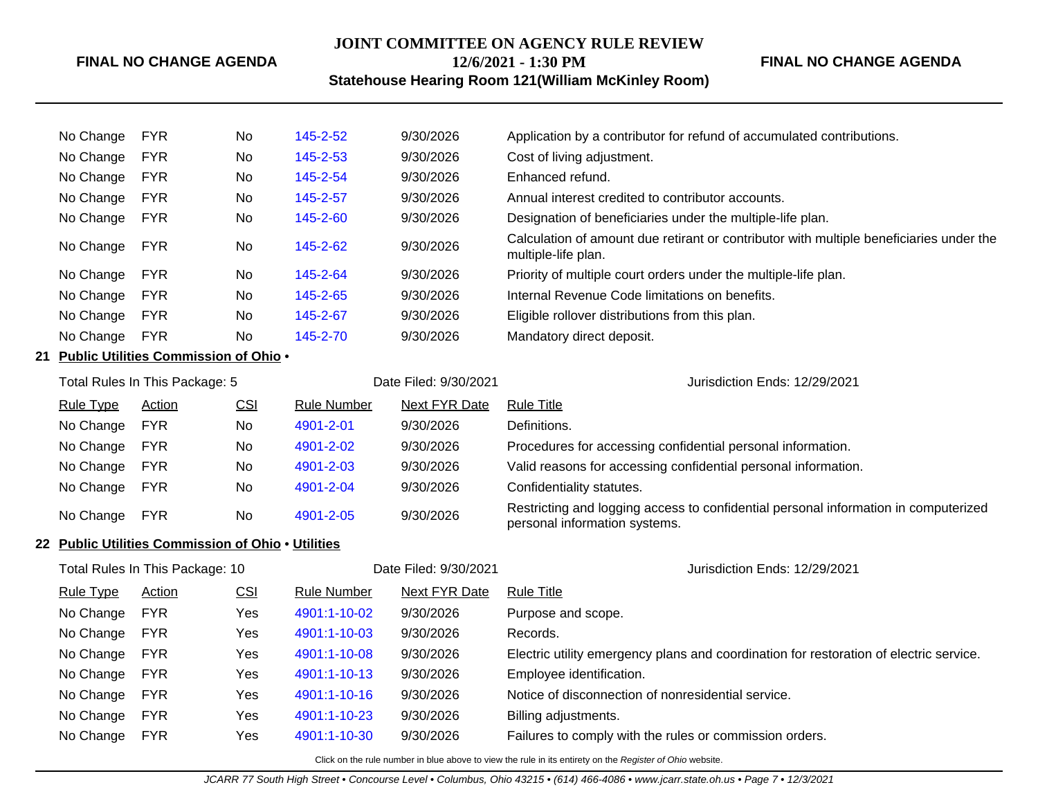# **JOINT COMMITTEE ON AGENCY RULE REVIEW 12/6/2021 - 1:30 PM**

**FINAL NO CHANGE AGENDA**

# **Statehouse Hearing Room 121(William McKinley Room)**

| No Change        | <b>FYR</b>                                         | No         | 145-2-52           | 9/30/2026             | Application by a contributor for refund of accumulated contributions.                                                |
|------------------|----------------------------------------------------|------------|--------------------|-----------------------|----------------------------------------------------------------------------------------------------------------------|
| No Change        | <b>FYR</b>                                         | No         | 145-2-53           | 9/30/2026             | Cost of living adjustment.                                                                                           |
| No Change        | <b>FYR</b>                                         | No         | 145-2-54           | 9/30/2026             | Enhanced refund.                                                                                                     |
| No Change        | <b>FYR</b>                                         | No         | 145-2-57           | 9/30/2026             | Annual interest credited to contributor accounts.                                                                    |
| No Change        | <b>FYR</b>                                         | No         | 145-2-60           | 9/30/2026             | Designation of beneficiaries under the multiple-life plan.                                                           |
| No Change        | <b>FYR</b>                                         | No         | 145-2-62           | 9/30/2026             | Calculation of amount due retirant or contributor with multiple beneficiaries under the<br>multiple-life plan.       |
| No Change        | <b>FYR</b>                                         | No         | 145-2-64           | 9/30/2026             | Priority of multiple court orders under the multiple-life plan.                                                      |
| No Change        | <b>FYR</b>                                         | No         | 145-2-65           | 9/30/2026             | Internal Revenue Code limitations on benefits.                                                                       |
| No Change        | <b>FYR</b>                                         | No         | 145-2-67           | 9/30/2026             | Eligible rollover distributions from this plan.                                                                      |
| No Change        | <b>FYR</b>                                         | No         | 145-2-70           | 9/30/2026             | Mandatory direct deposit.                                                                                            |
|                  | 21 Public Utilities Commission of Ohio .           |            |                    |                       |                                                                                                                      |
|                  | Total Rules In This Package: 5                     |            |                    | Date Filed: 9/30/2021 | Jurisdiction Ends: 12/29/2021                                                                                        |
| <b>Rule Type</b> | Action                                             | <u>CSI</u> | <b>Rule Number</b> | <b>Next FYR Date</b>  | <b>Rule Title</b>                                                                                                    |
| No Change        | <b>FYR</b>                                         | No         | 4901-2-01          | 9/30/2026             | Definitions.                                                                                                         |
| No Change        | <b>FYR</b>                                         | No         | 4901-2-02          | 9/30/2026             | Procedures for accessing confidential personal information.                                                          |
| No Change        | <b>FYR</b>                                         | No         | 4901-2-03          | 9/30/2026             | Valid reasons for accessing confidential personal information.                                                       |
| No Change        | <b>FYR</b>                                         | No         | 4901-2-04          | 9/30/2026             | Confidentiality statutes.                                                                                            |
| No Change        | <b>FYR</b>                                         | No         | 4901-2-05          | 9/30/2026             | Restricting and logging access to confidential personal information in computerized<br>personal information systems. |
|                  | 22 Public Utilities Commission of Ohio . Utilities |            |                    |                       |                                                                                                                      |
|                  | Total Rules In This Package: 10                    |            |                    | Date Filed: 9/30/2021 | Jurisdiction Ends: 12/29/2021                                                                                        |
| <b>Rule Type</b> | Action                                             | CSI        | <b>Rule Number</b> | <b>Next FYR Date</b>  | <b>Rule Title</b>                                                                                                    |
| No Change        | <b>FYR</b>                                         | Yes        | 4901:1-10-02       | 9/30/2026             | Purpose and scope.                                                                                                   |
| No Change        | <b>FYR</b>                                         | Yes        | 4901:1-10-03       | 9/30/2026             | Records.                                                                                                             |
| No Change        | <b>FYR</b>                                         | Yes        | 4901:1-10-08       | 9/30/2026             | Electric utility emergency plans and coordination for restoration of electric service.                               |
| No Change        | <b>FYR</b>                                         | Yes        | 4901:1-10-13       | 9/30/2026             | Employee identification.                                                                                             |
| No Change        | <b>FYR</b>                                         | Yes        | 4901:1-10-16       | 9/30/2026             | Notice of disconnection of nonresidential service.                                                                   |
| No Change        | <b>FYR</b>                                         | Yes        | 4901:1-10-23       | 9/30/2026             | Billing adjustments.                                                                                                 |
| No Change        | <b>FYR</b>                                         | Yes        | 4901:1-10-30       | 9/30/2026             | Failures to comply with the rules or commission orders.                                                              |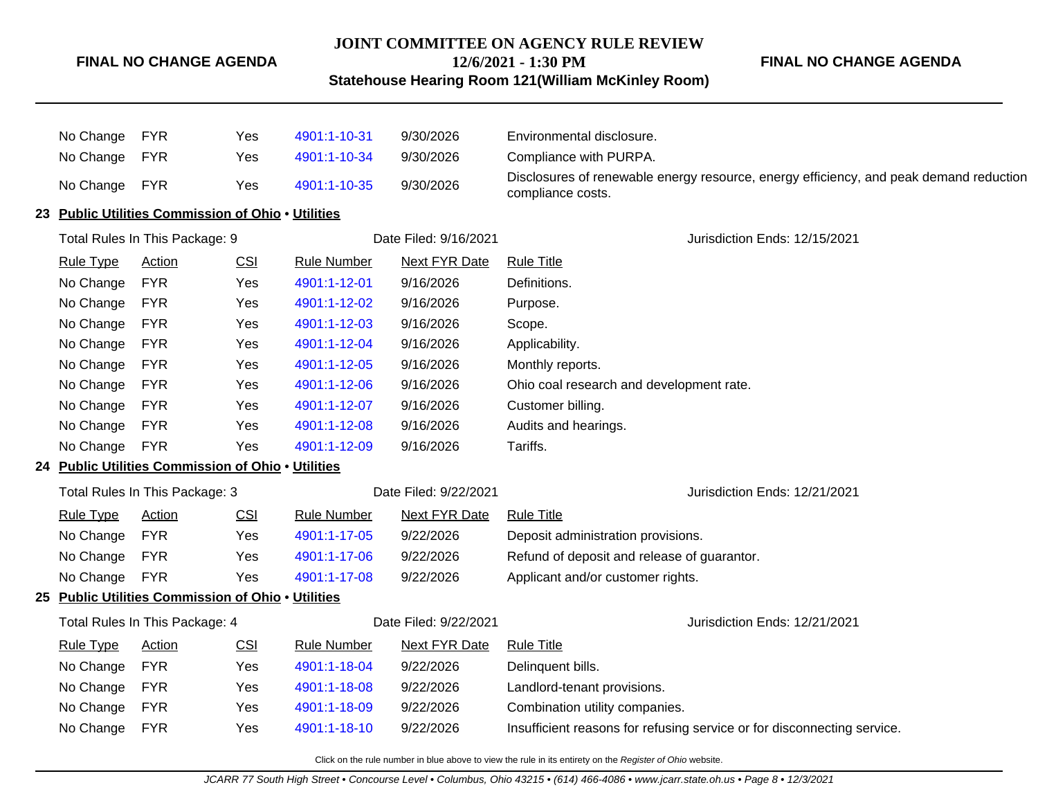#### **JOINT COMMITTEE ON AGENCY RULE REVIEW**

**12/6/2021 - 1:30 PM**

**Statehouse Hearing Room 121(William McKinley Room)**

**FINAL NO CHANGE AGENDA**

| No Change        | <b>FYR</b>                                         | Yes | 4901:1-10-31          | 9/30/2026             | Environmental disclosure.                                                                                   |
|------------------|----------------------------------------------------|-----|-----------------------|-----------------------|-------------------------------------------------------------------------------------------------------------|
| No Change        | <b>FYR</b>                                         | Yes | 4901:1-10-34          | 9/30/2026             | Compliance with PURPA.                                                                                      |
| No Change FYR    |                                                    | Yes | 4901:1-10-35          | 9/30/2026             | Disclosures of renewable energy resource, energy efficiency, and peak demand reduction<br>compliance costs. |
|                  | 23 Public Utilities Commission of Ohio . Utilities |     |                       |                       |                                                                                                             |
|                  | Total Rules In This Package: 9                     |     |                       | Date Filed: 9/16/2021 | Jurisdiction Ends: 12/15/2021                                                                               |
| <b>Rule Type</b> | Action                                             | CSI | <b>Rule Number</b>    | <b>Next FYR Date</b>  | <b>Rule Title</b>                                                                                           |
| No Change        | <b>FYR</b>                                         | Yes | 4901:1-12-01          | 9/16/2026             | Definitions.                                                                                                |
| No Change        | <b>FYR</b>                                         | Yes | 4901:1-12-02          | 9/16/2026             | Purpose.                                                                                                    |
| No Change        | <b>FYR</b>                                         | Yes | 4901:1-12-03          | 9/16/2026             | Scope.                                                                                                      |
| No Change        | <b>FYR</b>                                         | Yes | 4901:1-12-04          | 9/16/2026             | Applicability.                                                                                              |
| No Change        | <b>FYR</b>                                         | Yes | 4901:1-12-05          | 9/16/2026             | Monthly reports.                                                                                            |
| No Change        | <b>FYR</b>                                         | Yes | 4901:1-12-06          | 9/16/2026             | Ohio coal research and development rate.                                                                    |
| No Change        | <b>FYR</b>                                         | Yes | 4901:1-12-07          | 9/16/2026             | Customer billing.                                                                                           |
| No Change        | <b>FYR</b>                                         | Yes | 4901:1-12-08          | 9/16/2026             | Audits and hearings.                                                                                        |
| No Change        | <b>FYR</b>                                         | Yes | 4901:1-12-09          | 9/16/2026             | Tariffs.                                                                                                    |
|                  | 24 Public Utilities Commission of Ohio . Utilities |     |                       |                       |                                                                                                             |
|                  | Total Rules In This Package: 3                     |     | Date Filed: 9/22/2021 |                       | Jurisdiction Ends: 12/21/2021                                                                               |
| <b>Rule Type</b> | <b>Action</b>                                      | CSI | <b>Rule Number</b>    | <b>Next FYR Date</b>  | <b>Rule Title</b>                                                                                           |
| No Change        | <b>FYR</b>                                         | Yes | 4901:1-17-05          | 9/22/2026             | Deposit administration provisions.                                                                          |
| No Change        | <b>FYR</b>                                         | Yes | 4901:1-17-06          | 9/22/2026             | Refund of deposit and release of guarantor.                                                                 |
| No Change        | <b>FYR</b>                                         | Yes | 4901:1-17-08          | 9/22/2026             | Applicant and/or customer rights.                                                                           |
|                  | 25 Public Utilities Commission of Ohio . Utilities |     |                       |                       |                                                                                                             |
|                  | Total Rules In This Package: 4                     |     |                       | Date Filed: 9/22/2021 | Jurisdiction Ends: 12/21/2021                                                                               |
| <b>Rule Type</b> | <b>Action</b>                                      | CSI | <b>Rule Number</b>    | <b>Next FYR Date</b>  | <b>Rule Title</b>                                                                                           |
| No Change        | <b>FYR</b>                                         | Yes | 4901:1-18-04          | 9/22/2026             | Delinquent bills.                                                                                           |
| No Change        | <b>FYR</b>                                         | Yes | 4901:1-18-08          | 9/22/2026             | Landlord-tenant provisions.                                                                                 |
| No Change        | <b>FYR</b>                                         | Yes | 4901:1-18-09          | 9/22/2026             | Combination utility companies.                                                                              |
| No Change        | <b>FYR</b>                                         | Yes | 4901:1-18-10          | 9/22/2026             | Insufficient reasons for refusing service or for disconnecting service.                                     |
|                  |                                                    |     |                       |                       |                                                                                                             |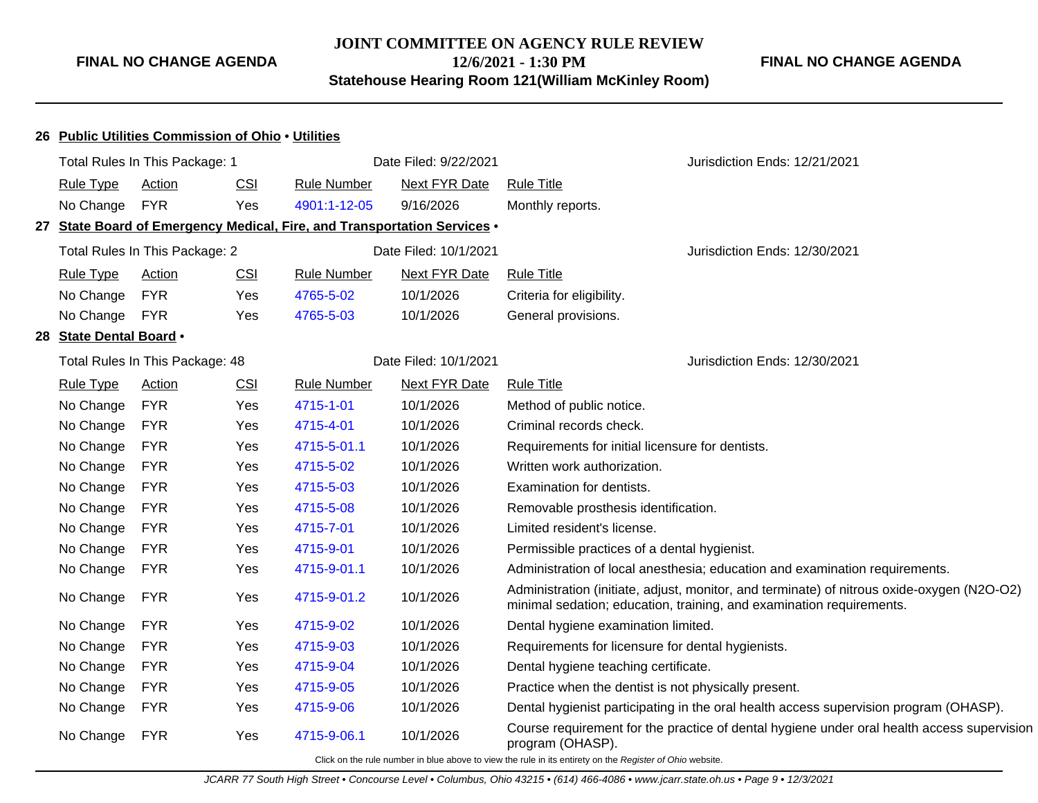# **JOINT COMMITTEE ON AGENCY RULE REVIEW 12/6/2021 - 1:30 PM Statehouse Hearing Room 121(William McKinley Room)**

# **FINAL NO CHANGE AGENDA**

|                         | 26 Public Utilities Commission of Ohio . Utilities |            |                    |                                                                          |                                                                                                                                                                    |
|-------------------------|----------------------------------------------------|------------|--------------------|--------------------------------------------------------------------------|--------------------------------------------------------------------------------------------------------------------------------------------------------------------|
|                         | Total Rules In This Package: 1                     |            |                    | Date Filed: 9/22/2021                                                    | Jurisdiction Ends: 12/21/2021                                                                                                                                      |
| Rule Type               | Action                                             | <b>CSI</b> | <b>Rule Number</b> | Next FYR Date                                                            | <b>Rule Title</b>                                                                                                                                                  |
| No Change               | <b>FYR</b>                                         | Yes        | 4901:1-12-05       | 9/16/2026                                                                | Monthly reports.                                                                                                                                                   |
|                         |                                                    |            |                    | 27 State Board of Emergency Medical, Fire, and Transportation Services • |                                                                                                                                                                    |
|                         | Total Rules In This Package: 2                     |            |                    | Date Filed: 10/1/2021                                                    | Jurisdiction Ends: 12/30/2021                                                                                                                                      |
| <b>Rule Type</b>        | <b>Action</b>                                      | CSI        | <b>Rule Number</b> | <b>Next FYR Date</b>                                                     | <b>Rule Title</b>                                                                                                                                                  |
| No Change               | <b>FYR</b>                                         | Yes        | 4765-5-02          | 10/1/2026                                                                | Criteria for eligibility.                                                                                                                                          |
| No Change               | <b>FYR</b>                                         | Yes        | 4765-5-03          | 10/1/2026                                                                | General provisions.                                                                                                                                                |
| 28 State Dental Board . |                                                    |            |                    |                                                                          |                                                                                                                                                                    |
|                         | Total Rules In This Package: 48                    |            |                    | Date Filed: 10/1/2021                                                    | Jurisdiction Ends: 12/30/2021                                                                                                                                      |
| <b>Rule Type</b>        | <b>Action</b>                                      | <b>CSI</b> | <b>Rule Number</b> | <b>Next FYR Date</b>                                                     | <b>Rule Title</b>                                                                                                                                                  |
| No Change               | <b>FYR</b>                                         | Yes        | 4715-1-01          | 10/1/2026                                                                | Method of public notice.                                                                                                                                           |
| No Change               | <b>FYR</b>                                         | Yes        | 4715-4-01          | 10/1/2026                                                                | Criminal records check.                                                                                                                                            |
| No Change               | <b>FYR</b>                                         | Yes        | 4715-5-01.1        | 10/1/2026                                                                | Requirements for initial licensure for dentists.                                                                                                                   |
| No Change               | <b>FYR</b>                                         | Yes        | 4715-5-02          | 10/1/2026                                                                | Written work authorization.                                                                                                                                        |
| No Change               | <b>FYR</b>                                         | Yes        | 4715-5-03          | 10/1/2026                                                                | Examination for dentists.                                                                                                                                          |
| No Change               | <b>FYR</b>                                         | Yes        | 4715-5-08          | 10/1/2026                                                                | Removable prosthesis identification.                                                                                                                               |
| No Change               | <b>FYR</b>                                         | Yes        | 4715-7-01          | 10/1/2026                                                                | Limited resident's license.                                                                                                                                        |
| No Change               | <b>FYR</b>                                         | Yes        | 4715-9-01          | 10/1/2026                                                                | Permissible practices of a dental hygienist.                                                                                                                       |
| No Change               | <b>FYR</b>                                         | Yes        | 4715-9-01.1        | 10/1/2026                                                                | Administration of local anesthesia; education and examination requirements.                                                                                        |
| No Change               | <b>FYR</b>                                         | Yes        | 4715-9-01.2        | 10/1/2026                                                                | Administration (initiate, adjust, monitor, and terminate) of nitrous oxide-oxygen (N2O-O2)<br>minimal sedation; education, training, and examination requirements. |
| No Change               | <b>FYR</b>                                         | Yes        | 4715-9-02          | 10/1/2026                                                                | Dental hygiene examination limited.                                                                                                                                |
| No Change               | <b>FYR</b>                                         | Yes        | 4715-9-03          | 10/1/2026                                                                | Requirements for licensure for dental hygienists.                                                                                                                  |
| No Change               | <b>FYR</b>                                         | Yes        | 4715-9-04          | 10/1/2026                                                                | Dental hygiene teaching certificate.                                                                                                                               |
| No Change               | <b>FYR</b>                                         | Yes        | 4715-9-05          | 10/1/2026                                                                | Practice when the dentist is not physically present.                                                                                                               |
| No Change               | <b>FYR</b>                                         | Yes        | 4715-9-06          | 10/1/2026                                                                | Dental hygienist participating in the oral health access supervision program (OHASP).                                                                              |
| No Change               | <b>FYR</b>                                         | Yes        | 4715-9-06.1        | 10/1/2026                                                                | Course requirement for the practice of dental hygiene under oral health access supervision<br>program (OHASP).                                                     |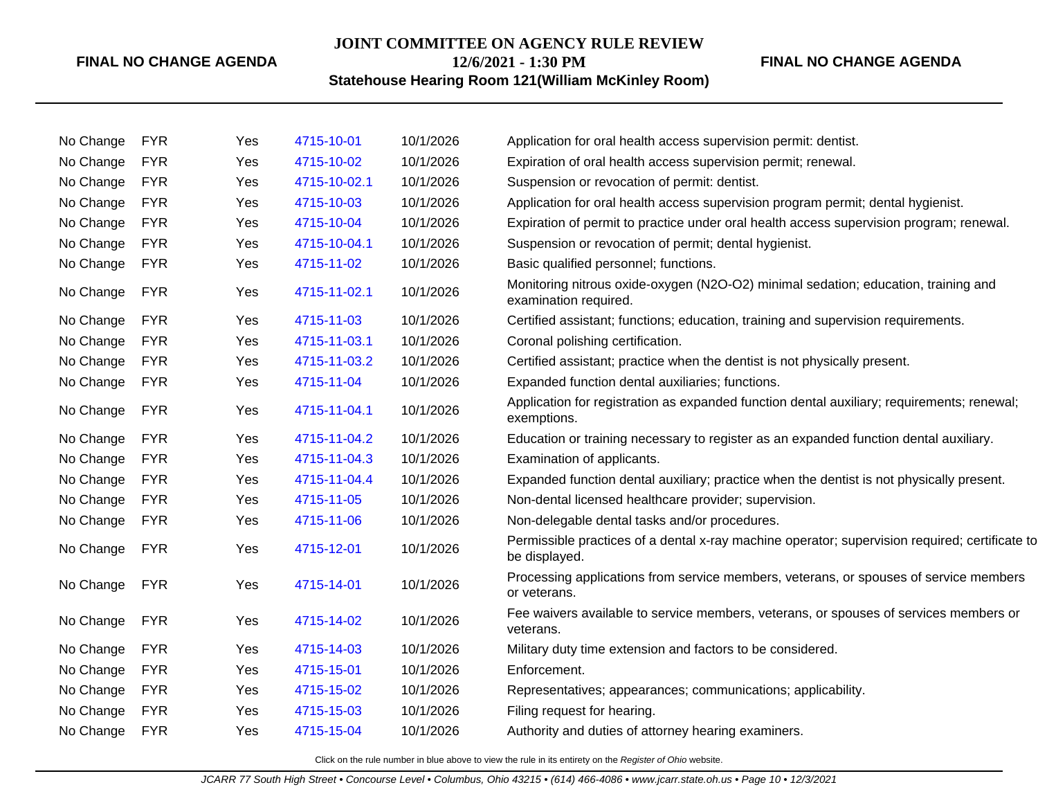#### **JOINT COMMITTEE ON AGENCY RULE REVIEW**

**12/6/2021 - 1:30 PM**

# **FINAL NO CHANGE AGENDA**

# **Statehouse Hearing Room 121(William McKinley Room)**

| No Change | <b>FYR</b> | Yes | 4715-10-01   | 10/1/2026 | Application for oral health access supervision permit: dentist.                                                 |
|-----------|------------|-----|--------------|-----------|-----------------------------------------------------------------------------------------------------------------|
| No Change | <b>FYR</b> | Yes | 4715-10-02   | 10/1/2026 | Expiration of oral health access supervision permit; renewal.                                                   |
| No Change | <b>FYR</b> | Yes | 4715-10-02.1 | 10/1/2026 | Suspension or revocation of permit: dentist.                                                                    |
| No Change | <b>FYR</b> | Yes | 4715-10-03   | 10/1/2026 | Application for oral health access supervision program permit; dental hygienist.                                |
| No Change | <b>FYR</b> | Yes | 4715-10-04   | 10/1/2026 | Expiration of permit to practice under oral health access supervision program; renewal.                         |
| No Change | <b>FYR</b> | Yes | 4715-10-04.1 | 10/1/2026 | Suspension or revocation of permit; dental hygienist.                                                           |
| No Change | <b>FYR</b> | Yes | 4715-11-02   | 10/1/2026 | Basic qualified personnel; functions.                                                                           |
| No Change | <b>FYR</b> | Yes | 4715-11-02.1 | 10/1/2026 | Monitoring nitrous oxide-oxygen (N2O-O2) minimal sedation; education, training and<br>examination required.     |
| No Change | <b>FYR</b> | Yes | 4715-11-03   | 10/1/2026 | Certified assistant; functions; education, training and supervision requirements.                               |
| No Change | <b>FYR</b> | Yes | 4715-11-03.1 | 10/1/2026 | Coronal polishing certification.                                                                                |
| No Change | <b>FYR</b> | Yes | 4715-11-03.2 | 10/1/2026 | Certified assistant; practice when the dentist is not physically present.                                       |
| No Change | <b>FYR</b> | Yes | 4715-11-04   | 10/1/2026 | Expanded function dental auxiliaries; functions.                                                                |
| No Change | <b>FYR</b> | Yes | 4715-11-04.1 | 10/1/2026 | Application for registration as expanded function dental auxiliary; requirements; renewal;<br>exemptions.       |
| No Change | <b>FYR</b> | Yes | 4715-11-04.2 | 10/1/2026 | Education or training necessary to register as an expanded function dental auxiliary.                           |
| No Change | <b>FYR</b> | Yes | 4715-11-04.3 | 10/1/2026 | Examination of applicants.                                                                                      |
| No Change | <b>FYR</b> | Yes | 4715-11-04.4 | 10/1/2026 | Expanded function dental auxiliary; practice when the dentist is not physically present.                        |
| No Change | <b>FYR</b> | Yes | 4715-11-05   | 10/1/2026 | Non-dental licensed healthcare provider; supervision.                                                           |
| No Change | <b>FYR</b> | Yes | 4715-11-06   | 10/1/2026 | Non-delegable dental tasks and/or procedures.                                                                   |
| No Change | <b>FYR</b> | Yes | 4715-12-01   | 10/1/2026 | Permissible practices of a dental x-ray machine operator; supervision required; certificate to<br>be displayed. |
| No Change | <b>FYR</b> | Yes | 4715-14-01   | 10/1/2026 | Processing applications from service members, veterans, or spouses of service members<br>or veterans.           |
| No Change | <b>FYR</b> | Yes | 4715-14-02   | 10/1/2026 | Fee waivers available to service members, veterans, or spouses of services members or<br>veterans.              |
| No Change | <b>FYR</b> | Yes | 4715-14-03   | 10/1/2026 | Military duty time extension and factors to be considered.                                                      |
| No Change | <b>FYR</b> | Yes | 4715-15-01   | 10/1/2026 | Enforcement.                                                                                                    |
| No Change | <b>FYR</b> | Yes | 4715-15-02   | 10/1/2026 | Representatives; appearances; communications; applicability.                                                    |
| No Change | <b>FYR</b> | Yes | 4715-15-03   | 10/1/2026 | Filing request for hearing.                                                                                     |
| No Change | <b>FYR</b> | Yes | 4715-15-04   | 10/1/2026 | Authority and duties of attorney hearing examiners.                                                             |
|           |            |     |              |           |                                                                                                                 |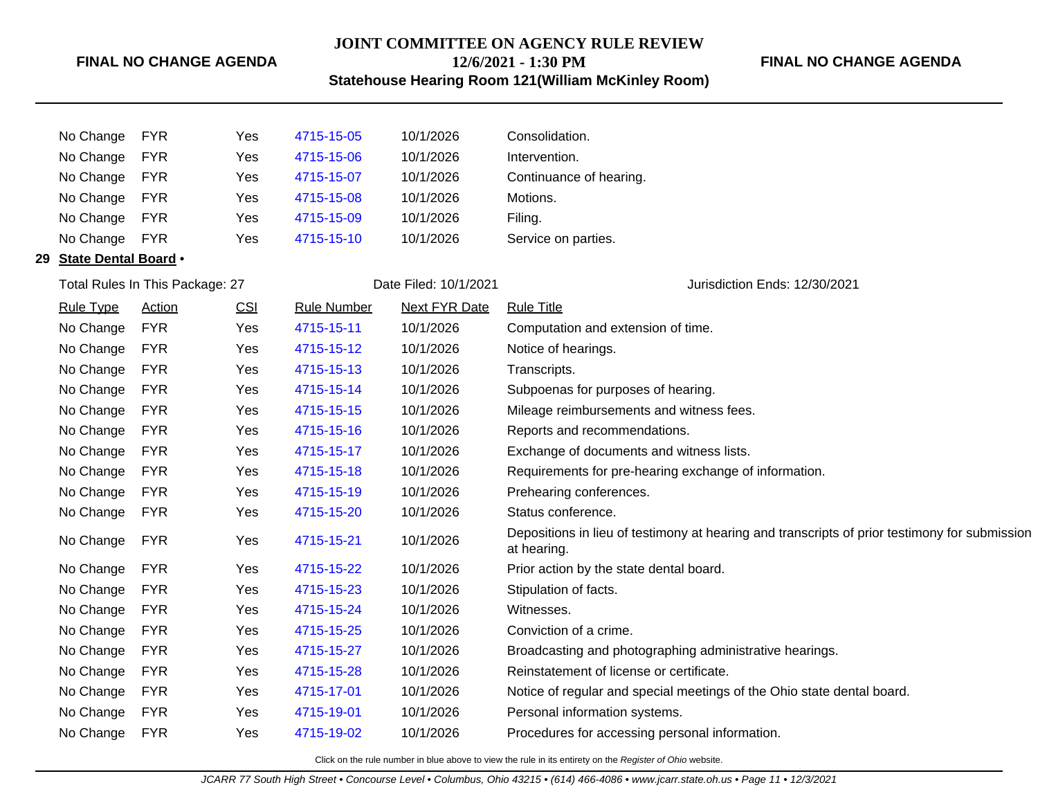# **JOINT COMMITTEE ON AGENCY RULE REVIEW 12/6/2021 - 1:30 PM**

# **FINAL NO CHANGE AGENDA**

**Statehouse Hearing Room 121(William McKinley Room)**

|    | No Change                   | <b>FYR</b>                      | Yes | 4715-15-05         | 10/1/2026             | Consolidation.                                                                                               |
|----|-----------------------------|---------------------------------|-----|--------------------|-----------------------|--------------------------------------------------------------------------------------------------------------|
|    | No Change                   | <b>FYR</b>                      | Yes | 4715-15-06         | 10/1/2026             | Intervention.                                                                                                |
|    | No Change                   | <b>FYR</b>                      | Yes | 4715-15-07         | 10/1/2026             | Continuance of hearing.                                                                                      |
|    | No Change                   | <b>FYR</b>                      | Yes | 4715-15-08         | 10/1/2026             | Motions.                                                                                                     |
|    | No Change                   | <b>FYR</b>                      | Yes | 4715-15-09         | 10/1/2026             | Filing.                                                                                                      |
|    | No Change                   | <b>FYR</b>                      | Yes | 4715-15-10         | 10/1/2026             | Service on parties.                                                                                          |
| 29 | <b>State Dental Board .</b> |                                 |     |                    |                       |                                                                                                              |
|    |                             | Total Rules In This Package: 27 |     |                    | Date Filed: 10/1/2021 | Jurisdiction Ends: 12/30/2021                                                                                |
|    | <b>Rule Type</b>            | <b>Action</b>                   | CSI | <b>Rule Number</b> | <b>Next FYR Date</b>  | <b>Rule Title</b>                                                                                            |
|    | No Change                   | <b>FYR</b>                      | Yes | 4715-15-11         | 10/1/2026             | Computation and extension of time.                                                                           |
|    | No Change                   | <b>FYR</b>                      | Yes | 4715-15-12         | 10/1/2026             | Notice of hearings.                                                                                          |
|    | No Change                   | <b>FYR</b>                      | Yes | 4715-15-13         | 10/1/2026             | Transcripts.                                                                                                 |
|    | No Change                   | <b>FYR</b>                      | Yes | 4715-15-14         | 10/1/2026             | Subpoenas for purposes of hearing.                                                                           |
|    | No Change                   | <b>FYR</b>                      | Yes | 4715-15-15         | 10/1/2026             | Mileage reimbursements and witness fees.                                                                     |
|    | No Change                   | <b>FYR</b>                      | Yes | 4715-15-16         | 10/1/2026             | Reports and recommendations.                                                                                 |
|    | No Change                   | <b>FYR</b>                      | Yes | 4715-15-17         | 10/1/2026             | Exchange of documents and witness lists.                                                                     |
|    | No Change                   | <b>FYR</b>                      | Yes | 4715-15-18         | 10/1/2026             | Requirements for pre-hearing exchange of information.                                                        |
|    | No Change                   | <b>FYR</b>                      | Yes | 4715-15-19         | 10/1/2026             | Prehearing conferences.                                                                                      |
|    | No Change                   | <b>FYR</b>                      | Yes | 4715-15-20         | 10/1/2026             | Status conference.                                                                                           |
|    | No Change                   | <b>FYR</b>                      | Yes | 4715-15-21         | 10/1/2026             | Depositions in lieu of testimony at hearing and transcripts of prior testimony for submission<br>at hearing. |
|    | No Change                   | <b>FYR</b>                      | Yes | 4715-15-22         | 10/1/2026             | Prior action by the state dental board.                                                                      |
|    | No Change                   | <b>FYR</b>                      | Yes | 4715-15-23         | 10/1/2026             | Stipulation of facts.                                                                                        |
|    | No Change                   | <b>FYR</b>                      | Yes | 4715-15-24         | 10/1/2026             | Witnesses.                                                                                                   |
|    | No Change                   | <b>FYR</b>                      | Yes | 4715-15-25         | 10/1/2026             | Conviction of a crime.                                                                                       |
|    | No Change                   | <b>FYR</b>                      | Yes | 4715-15-27         | 10/1/2026             | Broadcasting and photographing administrative hearings.                                                      |
|    | No Change                   | <b>FYR</b>                      | Yes | 4715-15-28         | 10/1/2026             | Reinstatement of license or certificate.                                                                     |
|    | No Change                   | <b>FYR</b>                      | Yes | 4715-17-01         | 10/1/2026             | Notice of regular and special meetings of the Ohio state dental board.                                       |
|    | No Change                   | <b>FYR</b>                      | Yes | 4715-19-01         | 10/1/2026             | Personal information systems.                                                                                |
|    | No Change                   | <b>FYR</b>                      | Yes | 4715-19-02         | 10/1/2026             | Procedures for accessing personal information.                                                               |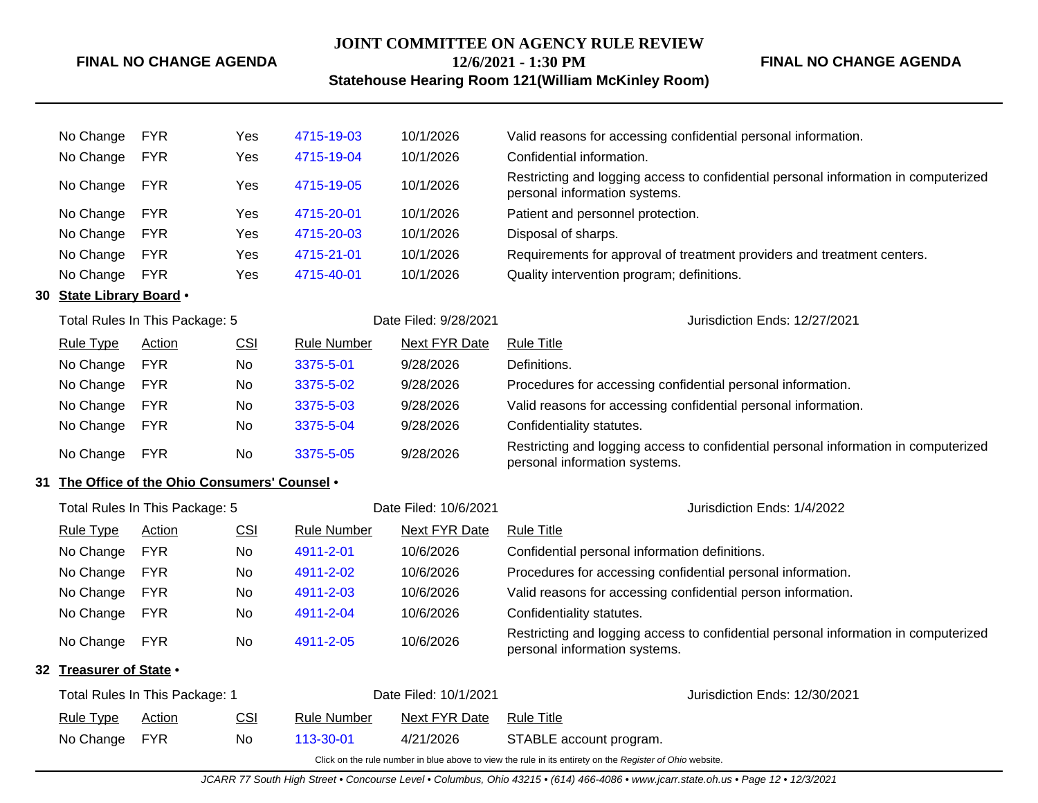# **JOINT COMMITTEE ON AGENCY RULE REVIEW 12/6/2021 - 1:30 PM**

**FINAL NO CHANGE AGENDA**

# **Statehouse Hearing Room 121(William McKinley Room)**

|                                                | No Change                      | <b>FYR</b>                     | Yes                   | 4715-19-03         | 10/1/2026                     | Valid reasons for accessing confidential personal information.                                                       |  |
|------------------------------------------------|--------------------------------|--------------------------------|-----------------------|--------------------|-------------------------------|----------------------------------------------------------------------------------------------------------------------|--|
|                                                | No Change                      | <b>FYR</b>                     | Yes                   | 4715-19-04         | 10/1/2026                     | Confidential information.                                                                                            |  |
|                                                | No Change                      | <b>FYR</b>                     | <b>Yes</b>            | 4715-19-05         | 10/1/2026                     | Restricting and logging access to confidential personal information in computerized<br>personal information systems. |  |
|                                                | No Change                      | <b>FYR</b>                     | Yes                   | 4715-20-01         | 10/1/2026                     | Patient and personnel protection.                                                                                    |  |
|                                                | No Change                      | <b>FYR</b>                     | <b>Yes</b>            | 4715-20-03         | 10/1/2026                     | Disposal of sharps.                                                                                                  |  |
|                                                | No Change                      | <b>FYR</b>                     | Yes                   | 4715-21-01         | 10/1/2026                     | Requirements for approval of treatment providers and treatment centers.                                              |  |
|                                                | No Change                      | <b>FYR</b>                     | Yes                   | 4715-40-01         | 10/1/2026                     | Quality intervention program; definitions.                                                                           |  |
| 30                                             | State Library Board .          |                                |                       |                    |                               |                                                                                                                      |  |
|                                                |                                | Total Rules In This Package: 5 |                       |                    | Date Filed: 9/28/2021         | Jurisdiction Ends: 12/27/2021                                                                                        |  |
|                                                | <b>Rule Type</b>               | <b>Action</b>                  | <u>CSI</u>            | <b>Rule Number</b> | <b>Next FYR Date</b>          | <b>Rule Title</b>                                                                                                    |  |
|                                                | No Change                      | <b>FYR</b>                     | No                    | 3375-5-01          | 9/28/2026                     | Definitions.                                                                                                         |  |
|                                                | No Change                      | <b>FYR</b>                     | No.                   | 3375-5-02          | 9/28/2026                     | Procedures for accessing confidential personal information.                                                          |  |
|                                                | No Change                      | <b>FYR</b>                     | No.                   | 3375-5-03          | 9/28/2026                     | Valid reasons for accessing confidential personal information.                                                       |  |
|                                                | No Change                      | <b>FYR</b>                     | No.                   | 3375-5-04          | 9/28/2026                     | Confidentiality statutes.                                                                                            |  |
|                                                | No Change                      | <b>FYR</b>                     | No                    | 3375-5-05          | 9/28/2026                     | Restricting and logging access to confidential personal information in computerized<br>personal information systems. |  |
| 31 The Office of the Ohio Consumers' Counsel . |                                |                                |                       |                    |                               |                                                                                                                      |  |
|                                                |                                | Total Rules In This Package: 5 |                       |                    | Date Filed: 10/6/2021         | Jurisdiction Ends: 1/4/2022                                                                                          |  |
|                                                | <b>Rule Type</b>               | Action                         | CSI                   | <b>Rule Number</b> | <b>Next FYR Date</b>          | <b>Rule Title</b>                                                                                                    |  |
|                                                | No Change                      | <b>FYR</b>                     | No                    | 4911-2-01          | 10/6/2026                     | Confidential personal information definitions.                                                                       |  |
|                                                | No Change                      | <b>FYR</b>                     | No                    | 4911-2-02          | 10/6/2026                     | Procedures for accessing confidential personal information.                                                          |  |
|                                                | No Change                      | <b>FYR</b>                     | No.                   | 4911-2-03          | 10/6/2026                     | Valid reasons for accessing confidential person information.                                                         |  |
|                                                | No Change                      | <b>FYR</b>                     | No                    | 4911-2-04          | 10/6/2026                     | Confidentiality statutes.                                                                                            |  |
|                                                | No Change                      | <b>FYR</b>                     | No                    | 4911-2-05          | 10/6/2026                     | Restricting and logging access to confidential personal information in computerized<br>personal information systems. |  |
|                                                | 32 Treasurer of State .        |                                |                       |                    |                               |                                                                                                                      |  |
|                                                | Total Rules In This Package: 1 |                                | Date Filed: 10/1/2021 |                    | Jurisdiction Ends: 12/30/2021 |                                                                                                                      |  |
|                                                | <b>Rule Type</b>               | Action                         | CSI                   | Rule Number        | <b>Next FYR Date</b>          | <b>Rule Title</b>                                                                                                    |  |
|                                                | No Change                      | <b>FYR</b>                     | No                    | 113-30-01          | 4/21/2026                     | STABLE account program.                                                                                              |  |
|                                                |                                |                                |                       |                    |                               | Click on the rule number in blue above to view the rule in its entirety on the Register of Ohio website.             |  |